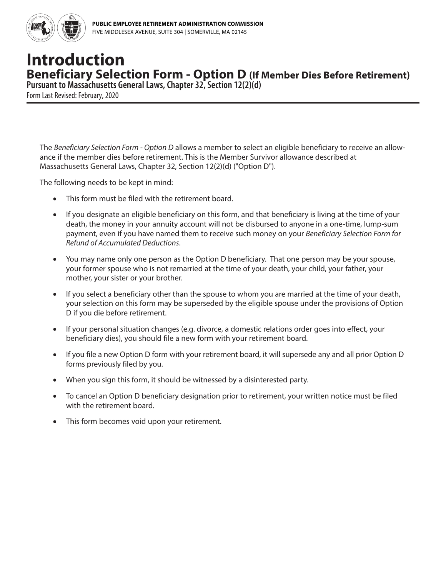

## **Introduction Beneficiary Selection Form - Option D (If Member Dies Before Retirement)**

**Pursuant to Massachusetts General Laws, Chapter 32, Section 12(2)(d)**

Form Last Revised: February, 2020

The *Beneficiary Selection Form - Option D* allows a member to select an eligible beneficiary to receive an allowance if the member dies before retirement. This is the Member Survivor allowance described at Massachusetts General Laws, Chapter 32, Section 12(2)(d) ("Option D").

The following needs to be kept in mind:

- This form must be filed with the retirement board.
- If you designate an eligible beneficiary on this form, and that beneficiary is living at the time of your death, the money in your annuity account will not be disbursed to anyone in a one-time, lump-sum payment, even if you have named them to receive such money on your *Beneficiary Selection Form for Refund of Accumulated Deductions*.
- You may name only one person as the Option D beneficiary. That one person may be your spouse, your former spouse who is not remarried at the time of your death, your child, your father, your mother, your sister or your brother.
- If you select a beneficiary other than the spouse to whom you are married at the time of your death, your selection on this form may be superseded by the eligible spouse under the provisions of Option D if you die before retirement.
- If your personal situation changes (e.g. divorce, a domestic relations order goes into effect, your beneficiary dies), you should file a new form with your retirement board.
- If you file a new Option D form with your retirement board, it will supersede any and all prior Option D forms previously filed by you.
- When you sign this form, it should be witnessed by a disinterested party.
- To cancel an Option D beneficiary designation prior to retirement, your written notice must be filed with the retirement board.
- This form becomes void upon your retirement.